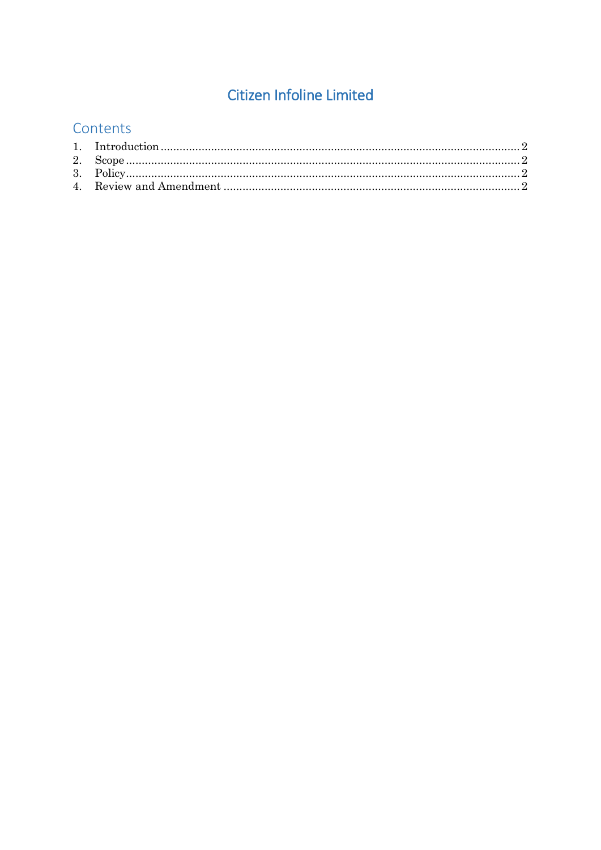# **Citizen Infoline Limited**

## Contents